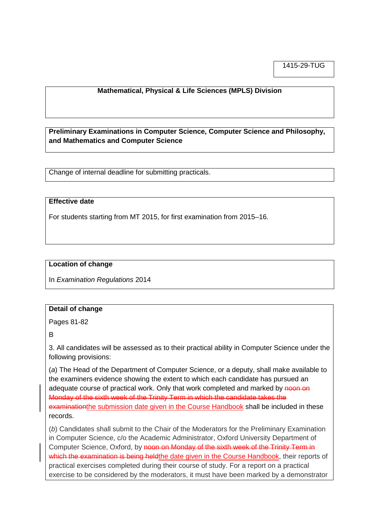1415-29-TUG

## **Mathematical, Physical & Life Sciences (MPLS) Division**

**Preliminary Examinations in Computer Science, Computer Science and Philosophy, and Mathematics and Computer Science**

Change of internal deadline for submitting practicals.

### **Effective date**

For students starting from MT 2015, for first examination from 2015–16.

### **Location of change**

In *Examination Regulations* 2014

#### **Detail of change**

Pages 81-82

B

3. All candidates will be assessed as to their practical ability in Computer Science under the following provisions:

(*a*) The Head of the Department of Computer Science, or a deputy, shall make available to the examiners evidence showing the extent to which each candidate has pursued an adequate course of practical work. Only that work completed and marked by noon on Monday of the sixth week of the Trinity Term in which the candidate takes the examinationthe submission date given in the Course Handbook shall be included in these records.

(*b*) Candidates shall submit to the Chair of the Moderators for the Preliminary Examination in Computer Science, c/o the Academic Administrator, Oxford University Department of Computer Science, Oxford, by noon on Monday of the sixth week of the Trinity Term in which the examination is being heldthe date given in the Course Handbook, their reports of practical exercises completed during their course of study. For a report on a practical exercise to be considered by the moderators, it must have been marked by a demonstrator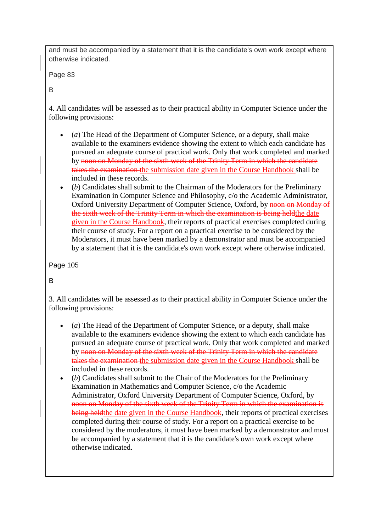and must be accompanied by a statement that it is the candidate's own work except where otherwise indicated.

Page 83

B

4. All candidates will be assessed as to their practical ability in Computer Science under the following provisions:

- (*a*) The Head of the Department of Computer Science, or a deputy, shall make available to the examiners evidence showing the extent to which each candidate has pursued an adequate course of practical work. Only that work completed and marked by noon on Monday of the sixth week of the Trinity Term in which the candidate takes the examination the submission date given in the Course Handbook shall be included in these records.
- (*b*) Candidates shall submit to the Chairman of the Moderators for the Preliminary Examination in Computer Science and Philosophy, c/o the Academic Administrator, Oxford University Department of Computer Science, Oxford, by noon on Monday of the sixth week of the Trinity Term in which the examination is being heldthe date given in the Course Handbook, their reports of practical exercises completed during their course of study. For a report on a practical exercise to be considered by the Moderators, it must have been marked by a demonstrator and must be accompanied by a statement that it is the candidate's own work except where otherwise indicated.

Page 105

B

3. All candidates will be assessed as to their practical ability in Computer Science under the following provisions:

- (*a*) The Head of the Department of Computer Science, or a deputy, shall make available to the examiners evidence showing the extent to which each candidate has pursued an adequate course of practical work. Only that work completed and marked by noon on Monday of the sixth week of the Trinity Term in which the candidate takes the examination the submission date given in the Course Handbook shall be included in these records.
- (*b*) Candidates shall submit to the Chair of the Moderators for the Preliminary Examination in Mathematics and Computer Science, c/o the Academic Administrator, Oxford University Department of Computer Science, Oxford, by noon on Monday of the sixth week of the Trinity Term in which the examination is being held the date given in the Course Handbook, their reports of practical exercises completed during their course of study. For a report on a practical exercise to be considered by the moderators, it must have been marked by a demonstrator and must be accompanied by a statement that it is the candidate's own work except where otherwise indicated.